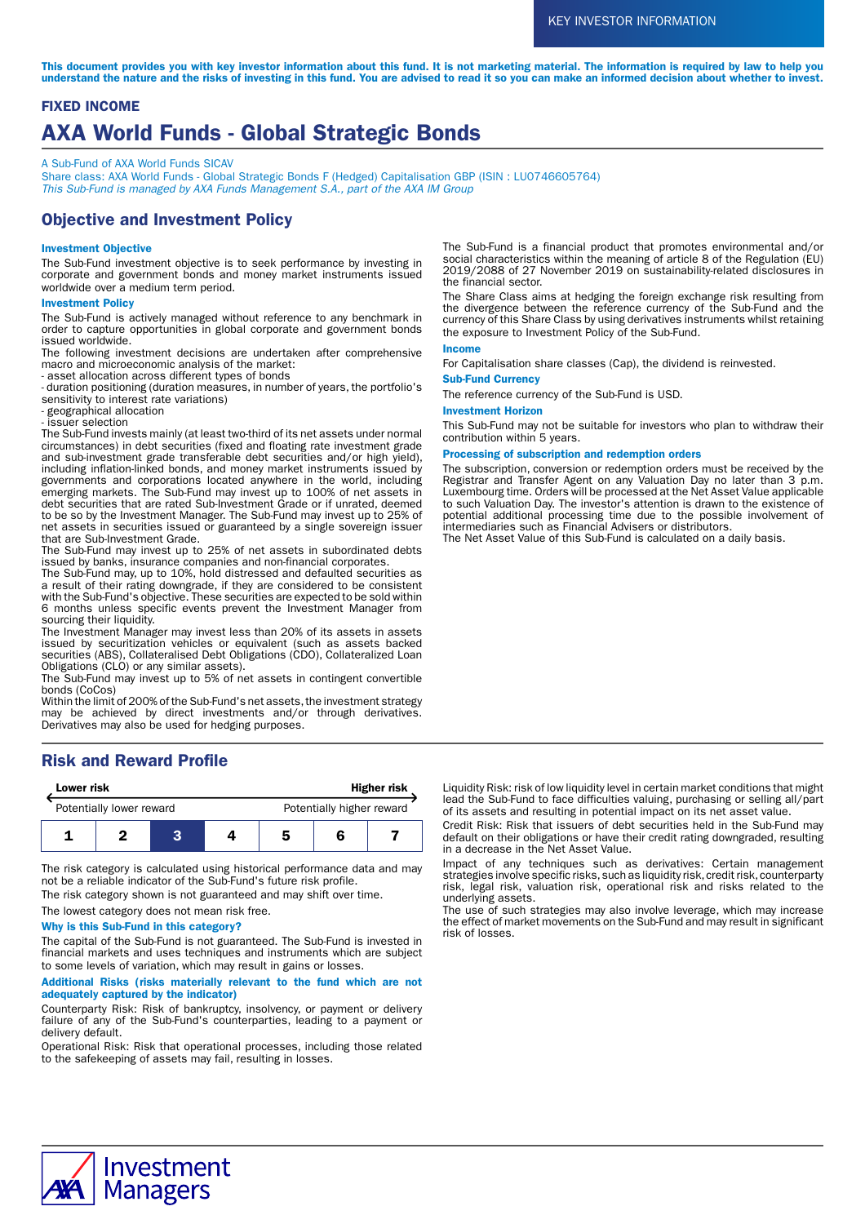This document provides you with key investor information about this fund. It is not marketing material. The information is required by law to help you understand the nature and the risks of investing in this fund. You are advised to read it so you can make an informed decision about whether to invest.

# FIXED INCOME AXA World Funds - Global Strategic Bonds

A Sub-Fund of AXA World Funds SICAV

Share class: AXA World Funds - Global Strategic Bonds F (Hedged) Capitalisation GBP (ISIN : LU0746605764) This Sub-Fund is managed by AXA Funds Management S.A., part of the AXA IM Group

# Objective and Investment Policy

### Investment Objective

The Sub-Fund investment objective is to seek performance by investing in corporate and government bonds and money market instruments issued worldwide over a medium term period.

#### Investment Policy

The Sub-Fund is actively managed without reference to any benchmark in order to capture opportunities in global corporate and government bonds issued worldwide.

The following investment decisions are undertaken after comprehensive macro and microeconomic analysis of the market:

- asset allocation across different types of bonds

- duration positioning (duration measures, in number of years, the portfolio's sensitivity to interest rate variations)

- geographical allocation

- issuer selection

The Sub-Fund invests mainly (at least two-third of its net assets under normal circumstances) in debt securities (fixed and floating rate investment grade and sub-investment grade transferable debt securities and/or high yield), including inflation-linked bonds, and money market instruments issued by governments and corporations located anywhere in the world, including emerging markets. The Sub-Fund may invest up to 100% of net assets in debt securities that are rated Sub-Investment Grade or if unrated, deemed to be so by the Investment Manager. The Sub-Fund may invest up to 25% of net assets in securities issued or guaranteed by a single sovereign issuer that are Sub-Investment Grade.

The Sub-Fund may invest up to 25% of net assets in subordinated debts issued by banks, insurance companies and non-financial corporates.

The Sub-Fund may, up to 10%, hold distressed and defaulted securities as a result of their rating downgrade, if they are considered to be consistent with the Sub-Fund's objective. These securities are expected to be sold within 6 months unless specific events prevent the Investment Manager from sourcing their liquidity.

The Investment Manager may invest less than 20% of its assets in assets issued by securitization vehicles or equivalent (such as assets backed securities (ABS), Collateralised Debt Obligations (CDO), Collateralized Loan Obligations (CLO) or any similar assets).

The Sub-Fund may invest up to 5% of net assets in contingent convertible bonds (CoCos)

Within the limit of 200% of the Sub-Fund's net assets, the investment strategy may be achieved by direct investments and/or through derivatives. Derivatives may also be used for hedging purposes.

# Risk and Reward Profile

| <b>Lower risk</b>        |  |  | <b>Higher risk</b> |                           |  |  |
|--------------------------|--|--|--------------------|---------------------------|--|--|
| Potentially lower reward |  |  |                    | Potentially higher reward |  |  |
|                          |  |  |                    | 5                         |  |  |

The risk category is calculated using historical performance data and may not be a reliable indicator of the Sub-Fund's future risk profile.

The risk category shown is not guaranteed and may shift over time.

The lowest category does not mean risk free.

### Why is this Sub-Fund in this category?

The capital of the Sub-Fund is not guaranteed. The Sub-Fund is invested in financial markets and uses techniques and instruments which are subject to some levels of variation, which may result in gains or losses.

### Additional Risks (risks materially relevant to the fund which are not adequately captured by the indicator)

Counterparty Risk: Risk of bankruptcy, insolvency, or payment or delivery failure of any of the Sub-Fund's counterparties, leading to a payment or delivery default.

Operational Risk: Risk that operational processes, including those related to the safekeeping of assets may fail, resulting in losses.

The Sub-Fund is a financial product that promotes environmental and/or social characteristics within the meaning of article 8 of the Regulation (EU) 2019/2088 of 27 November 2019 on sustainability-related disclosures in the financial sector.

The Share Class aims at hedging the foreign exchange risk resulting from the divergence between the reference currency of the Sub-Fund and the currency of this Share Class by using derivatives instruments whilst retaining the exposure to Investment Policy of the Sub-Fund.

#### Income

For Capitalisation share classes (Cap), the dividend is reinvested.

### Sub-Fund Currency

The reference currency of the Sub-Fund is USD.

#### Investment Horizon

This Sub-Fund may not be suitable for investors who plan to withdraw their contribution within 5 years.

### Processing of subscription and redemption orders

The subscription, conversion or redemption orders must be received by the Registrar and Transfer Agent on any Valuation Day no later than 3 p.m. Luxembourg time. Orders will be processed at the Net Asset Value applicable to such Valuation Day. The investor's attention is drawn to the existence of potential additional processing time due to the possible involvement of intermediaries such as Financial Advisers or distributors.

The Net Asset Value of this Sub-Fund is calculated on a daily basis.

Liquidity Risk: risk of low liquidity level in certain market conditions that might lead the Sub-Fund to face difficulties valuing, purchasing or selling all/part of its assets and resulting in potential impact on its net asset value.

Credit Risk: Risk that issuers of debt securities held in the Sub-Fund may default on their obligations or have their credit rating downgraded, resulting in a decrease in the Net Asset Value.

Impact of any techniques such as derivatives: Certain management strategies involve specific risks, such as liquidity risk, credit risk, counterparty risk, legal risk, valuation risk, operational risk and risks related to the underlying assets.

The use of such strategies may also involve leverage, which may increase the effect of market movements on the Sub-Fund and may result in significant risk of losses.